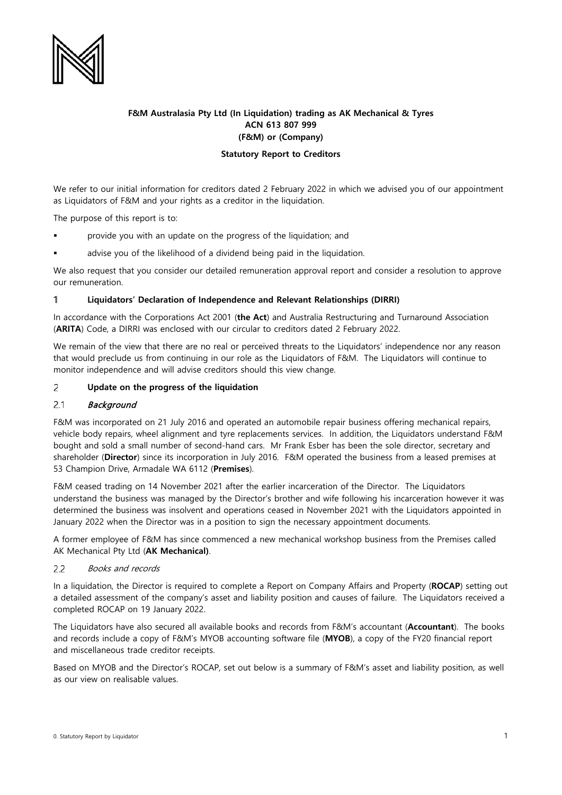

# **F&M Australasia Pty Ltd (In Liquidation) trading as AK Mechanical & Tyres ACN 613 807 999 (F&M) or (Company)**

### **Statutory Report to Creditors**

We refer to our initial information for creditors dated 2 February 2022 in which we advised you of our appointment as Liquidators of F&M and your rights as a creditor in the liquidation.

The purpose of this report is to:

- provide you with an update on the progress of the liquidation; and
- advise you of the likelihood of a dividend being paid in the liquidation.

We also request that you consider our detailed remuneration approval report and consider a resolution to approve our remuneration.

#### 1 **Liquidators' Declaration of Independence and Relevant Relationships (DIRRI)**

In accordance with the Corporations Act 2001 (**the Act**) and Australia Restructuring and Turnaround Association (**ARITA**) Code, a DIRRI was enclosed with our circular to creditors dated 2 February 2022.

We remain of the view that there are no real or perceived threats to the Liquidators' independence nor any reason that would preclude us from continuing in our role as the Liquidators of F&M. The Liquidators will continue to monitor independence and will advise creditors should this view change.

### $\overline{2}$ **Update on the progress of the liquidation**

### $2.1$ **Background**

F&M was incorporated on 21 July 2016 and operated an automobile repair business offering mechanical repairs, vehicle body repairs, wheel alignment and tyre replacements services. In addition, the Liquidators understand F&M bought and sold a small number of second-hand cars. Mr Frank Esber has been the sole director, secretary and shareholder (**Director**) since its incorporation in July 2016. F&M operated the business from a leased premises at 53 Champion Drive, Armadale WA 6112 (**Premises**).

F&M ceased trading on 14 November 2021 after the earlier incarceration of the Director. The Liquidators understand the business was managed by the Director's brother and wife following his incarceration however it was determined the business was insolvent and operations ceased in November 2021 with the Liquidators appointed in January 2022 when the Director was in a position to sign the necessary appointment documents.

A former employee of F&M has since commenced a new mechanical workshop business from the Premises called AK Mechanical Pty Ltd (**AK Mechanical)**.

#### Books and records  $2.2$

In a liquidation, the Director is required to complete a Report on Company Affairs and Property (**ROCAP**) setting out a detailed assessment of the company's asset and liability position and causes of failure. The Liquidators received a completed ROCAP on 19 January 2022.

The Liquidators have also secured all available books and records from F&M's accountant (**Accountant**). The books and records include a copy of F&M's MYOB accounting software file (**MYOB**), a copy of the FY20 financial report and miscellaneous trade creditor receipts.

Based on MYOB and the Director's ROCAP, set out below is a summary of F&M's asset and liability position, as well as our view on realisable values.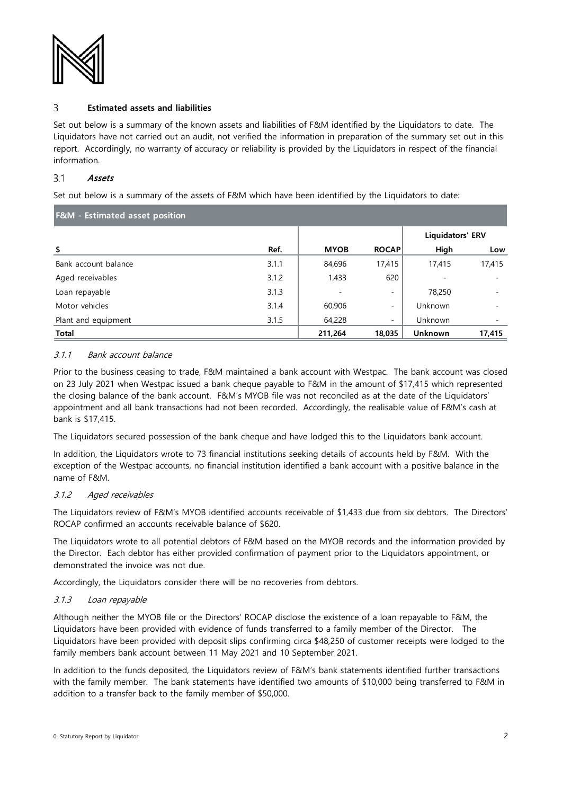

#### 3 **Estimated assets and liabilities**

Set out below is a summary of the known assets and liabilities of F&M identified by the Liquidators to date. The Liquidators have not carried out an audit, not verified the information in preparation of the summary set out in this report. Accordingly, no warranty of accuracy or reliability is provided by the Liquidators in respect of the financial information.

### $3.1$ Assets

Set out below is a summary of the assets of F&M which have been identified by the Liquidators to date:

| <b>F&amp;M</b> - Estimated asset position |       |             |                          |                  |        |
|-------------------------------------------|-------|-------------|--------------------------|------------------|--------|
|                                           |       |             |                          | Liquidators' ERV |        |
| \$                                        | Ref.  | <b>MYOB</b> | <b>ROCAP</b>             | High             | Low    |
| Bank account balance                      | 3.1.1 | 84,696      | 17,415                   | 17,415           | 17,415 |
| Aged receivables                          | 3.1.2 | 1,433       | 620                      |                  |        |
| Loan repayable                            | 3.1.3 |             | $\overline{\phantom{0}}$ | 78,250           |        |
| Motor vehicles                            | 3.1.4 | 60,906      | $\overline{\phantom{a}}$ | Unknown          |        |
| Plant and equipment                       | 3.1.5 | 64,228      | $\overline{\phantom{a}}$ | Unknown          |        |
| Total                                     |       | 211,264     | 18,035                   | <b>Unknown</b>   | 17,415 |

# 3.1.1 Bank account balance

Prior to the business ceasing to trade, F&M maintained a bank account with Westpac. The bank account was closed on 23 July 2021 when Westpac issued a bank cheque payable to F&M in the amount of \$17,415 which represented the closing balance of the bank account. F&M's MYOB file was not reconciled as at the date of the Liquidators' appointment and all bank transactions had not been recorded. Accordingly, the realisable value of F&M's cash at bank is \$17,415.

The Liquidators secured possession of the bank cheque and have lodged this to the Liquidators bank account.

In addition, the Liquidators wrote to 73 financial institutions seeking details of accounts held by F&M. With the exception of the Westpac accounts, no financial institution identified a bank account with a positive balance in the name of F&M.

# 3.1.2 Aged receivables

The Liquidators review of F&M's MYOB identified accounts receivable of \$1,433 due from six debtors. The Directors' ROCAP confirmed an accounts receivable balance of \$620.

The Liquidators wrote to all potential debtors of F&M based on the MYOB records and the information provided by the Director. Each debtor has either provided confirmation of payment prior to the Liquidators appointment, or demonstrated the invoice was not due.

Accordingly, the Liquidators consider there will be no recoveries from debtors.

# 3.1.3 Loan repayable

Although neither the MYOB file or the Directors' ROCAP disclose the existence of a loan repayable to F&M, the Liquidators have been provided with evidence of funds transferred to a family member of the Director. The Liquidators have been provided with deposit slips confirming circa \$48,250 of customer receipts were lodged to the family members bank account between 11 May 2021 and 10 September 2021.

In addition to the funds deposited, the Liquidators review of F&M's bank statements identified further transactions with the family member. The bank statements have identified two amounts of \$10,000 being transferred to F&M in addition to a transfer back to the family member of \$50,000.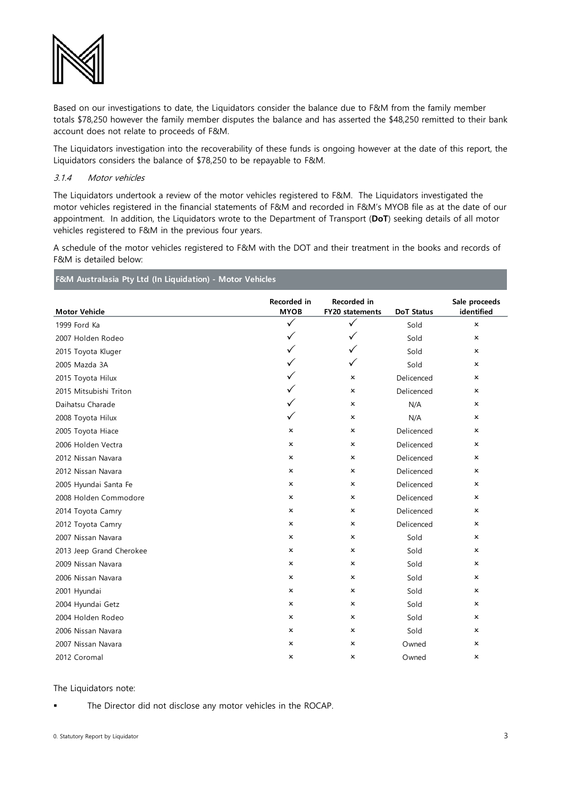

Based on our investigations to date, the Liquidators consider the balance due to F&M from the family member totals \$78,250 however the family member disputes the balance and has asserted the \$48,250 remitted to their bank account does not relate to proceeds of F&M.

The Liquidators investigation into the recoverability of these funds is ongoing however at the date of this report, the Liquidators considers the balance of \$78,250 to be repayable to F&M.

### <span id="page-2-0"></span>3.1.4 Motor vehicles

The Liquidators undertook a review of the motor vehicles registered to F&M. The Liquidators investigated the motor vehicles registered in the financial statements of F&M and recorded in F&M's MYOB file as at the date of our appointment. In addition, the Liquidators wrote to the Department of Transport (**DoT**) seeking details of all motor vehicles registered to F&M in the previous four years.

A schedule of the motor vehicles registered to F&M with the DOT and their treatment in the books and records of F&M is detailed below:

**F&M Australasia Pty Ltd (In Liquidation) - Motor Vehicles**

| <b>Motor Vehicle</b>     | Recorded in<br><b>MYOB</b> | <b>Recorded</b> in<br>FY20 statements | <b>DoT Status</b> | Sale proceeds<br>identified |
|--------------------------|----------------------------|---------------------------------------|-------------------|-----------------------------|
| 1999 Ford Ka             | $\checkmark$               | ✓                                     | Sold              | $\mathsf{x}$                |
| 2007 Holden Rodeo        | ✓                          | ✓                                     | Sold              | $\mathsf{x}$                |
| 2015 Toyota Kluger       | $\checkmark$               | $\checkmark$                          | Sold              | $\mathsf{x}$                |
| 2005 Mazda 3A            | ✓                          | ✓                                     | Sold              | $\mathsf{x}$                |
| 2015 Toyota Hilux        | ✓                          | x                                     | Delicenced        | x                           |
| 2015 Mitsubishi Triton   | ✓                          | x                                     | Delicenced        | x                           |
| Daihatsu Charade         |                            | ×                                     | N/A               | $\mathsf{x}$                |
| 2008 Toyota Hilux        | ✓                          | ×                                     | N/A               | x                           |
| 2005 Toyota Hiace        | x                          | $\mathsf{x}$                          | Delicenced        | $\mathsf{x}$                |
| 2006 Holden Vectra       | x                          | $\mathsf{x}$                          | Delicenced        | $\mathsf{x}$                |
| 2012 Nissan Navara       | x                          | $\mathsf{x}$                          | Delicenced        | $\mathsf{x}$                |
| 2012 Nissan Navara       | $\boldsymbol{\mathsf{x}}$  | $\mathsf{x}$                          | Delicenced        | $\mathsf{x}$                |
| 2005 Hyundai Santa Fe    | x                          | ×                                     | Delicenced        | x                           |
| 2008 Holden Commodore    | x                          | $\mathsf{x}$                          | Delicenced        | $\boldsymbol{\mathsf{x}}$   |
| 2014 Toyota Camry        | x                          | $\mathsf{x}$                          | Delicenced        | $\boldsymbol{\mathsf{x}}$   |
| 2012 Toyota Camry        | x                          | ×                                     | Delicenced        | x                           |
| 2007 Nissan Navara       | ×                          | ×                                     | Sold              | $\mathsf{x}$                |
| 2013 Jeep Grand Cherokee | x                          | ×                                     | Sold              | $\mathsf{x}$                |
| 2009 Nissan Navara       | x                          | ×                                     | Sold              | x                           |
| 2006 Nissan Navara       | $\boldsymbol{\mathsf{x}}$  | $\mathsf{x}$                          | Sold              | $\mathsf{x}$                |
| 2001 Hyundai             | x                          | ×                                     | Sold              | x                           |
| 2004 Hyundai Getz        | x                          | ×                                     | Sold              | x                           |
| 2004 Holden Rodeo        | x                          | x                                     | Sold              | x                           |
| 2006 Nissan Navara       | x                          | ×                                     | Sold              | $\mathsf{x}$                |
| 2007 Nissan Navara       | x                          | ×                                     | Owned             | x                           |
| 2012 Coromal             | x                          | $\boldsymbol{\mathsf{x}}$             | Owned             | x                           |

### The Liquidators note:

The Director did not disclose any motor vehicles in the ROCAP.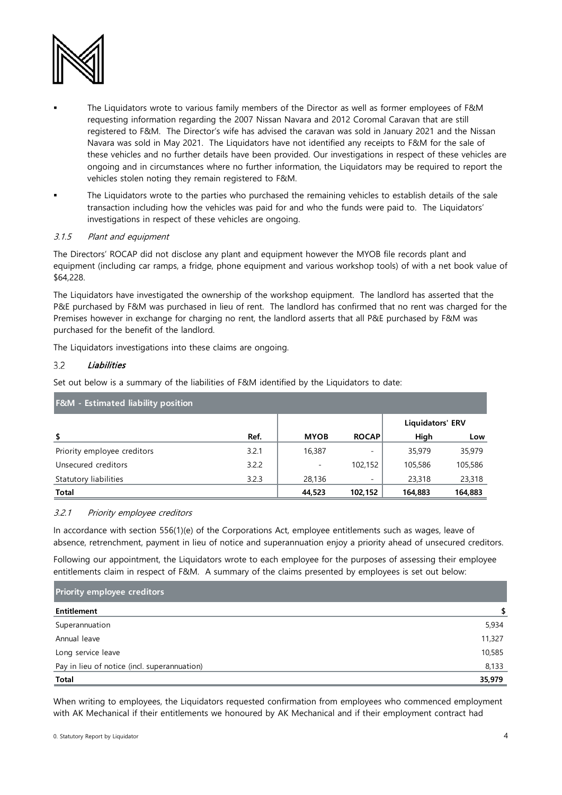

- The Liquidators wrote to various family members of the Director as well as former employees of F&M requesting information regarding the 2007 Nissan Navara and 2012 Coromal Caravan that are still registered to F&M. The Director's wife has advised the caravan was sold in January 2021 and the Nissan Navara was sold in May 2021. The Liquidators have not identified any receipts to F&M for the sale of these vehicles and no further details have been provided. Our investigations in respect of these vehicles are ongoing and in circumstances where no further information, the Liquidators may be required to report the vehicles stolen noting they remain registered to F&M.
- The Liquidators wrote to the parties who purchased the remaining vehicles to establish details of the sale transaction including how the vehicles was paid for and who the funds were paid to. The Liquidators' investigations in respect of these vehicles are ongoing.

# 3.1.5 Plant and equipment

The Directors' ROCAP did not disclose any plant and equipment however the MYOB file records plant and equipment (including car ramps, a fridge, phone equipment and various workshop tools) of with a net book value of \$64,228.

The Liquidators have investigated the ownership of the workshop equipment. The landlord has asserted that the P&E purchased by F&M was purchased in lieu of rent. The landlord has confirmed that no rent was charged for the Premises however in exchange for charging no rent, the landlord asserts that all P&E purchased by F&M was purchased for the benefit of the landlord.

The Liquidators investigations into these claims are ongoing.

#### $3.2$ **Liabilities**

Set out below is a summary of the liabilities of F&M identified by the Liquidators to date:

| <b>F&amp;M</b> - Estimated liability position |       |             |              |                  |         |  |
|-----------------------------------------------|-------|-------------|--------------|------------------|---------|--|
|                                               |       |             |              | Liquidators' ERV |         |  |
| \$                                            | Ref.  | <b>MYOB</b> | <b>ROCAP</b> | High             | Low     |  |
| Priority employee creditors                   | 3.2.1 | 16,387      |              | 35,979           | 35,979  |  |
| Unsecured creditors                           | 3.2.2 |             | 102.152      | 105,586          | 105,586 |  |
| Statutory liabilities                         | 3.2.3 | 28,136      |              | 23,318           | 23,318  |  |
| <b>Total</b>                                  |       | 44,523      | 102,152      | 164,883          | 164,883 |  |

# 3.2.1 Priority employee creditors

In accordance with section 556(1)(e) of the Corporations Act, employee entitlements such as wages, leave of absence, retrenchment, payment in lieu of notice and superannuation enjoy a priority ahead of unsecured creditors.

Following our appointment, the Liquidators wrote to each employee for the purposes of assessing their employee entitlements claim in respect of F&M. A summary of the claims presented by employees is set out below:

| <b>Priority employee creditors</b>           |        |  |
|----------------------------------------------|--------|--|
| Entitlement                                  | S      |  |
| Superannuation                               | 5,934  |  |
| Annual leave                                 | 11,327 |  |
| Long service leave                           | 10,585 |  |
| Pay in lieu of notice (incl. superannuation) | 8,133  |  |
| Total                                        | 35,979 |  |

When writing to employees, the Liquidators requested confirmation from employees who commenced employment with AK Mechanical if their entitlements we honoured by AK Mechanical and if their employment contract had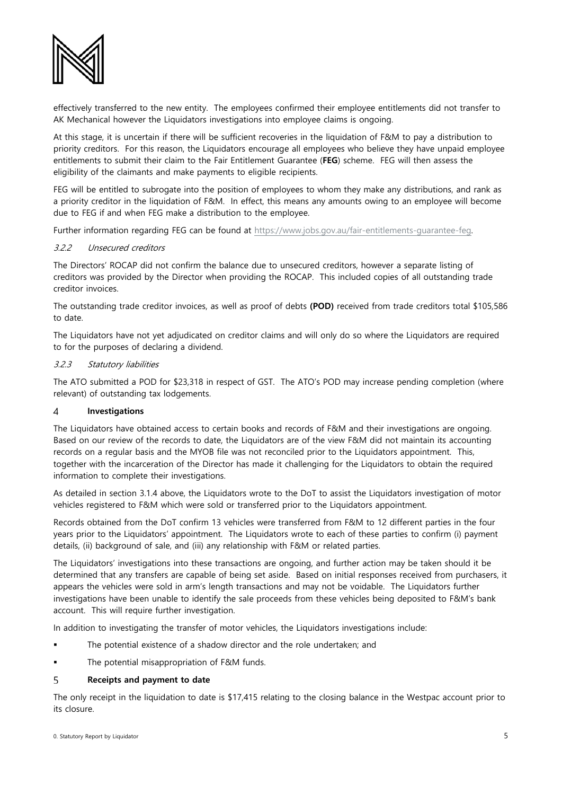

effectively transferred to the new entity. The employees confirmed their employee entitlements did not transfer to AK Mechanical however the Liquidators investigations into employee claims is ongoing.

At this stage, it is uncertain if there will be sufficient recoveries in the liquidation of F&M to pay a distribution to priority creditors. For this reason, the Liquidators encourage all employees who believe they have unpaid employee entitlements to submit their claim to the Fair Entitlement Guarantee (**FEG**) scheme. FEG will then assess the eligibility of the claimants and make payments to eligible recipients.

FEG will be entitled to subrogate into the position of employees to whom they make any distributions, and rank as a priority creditor in the liquidation of F&M. In effect, this means any amounts owing to an employee will become due to FEG if and when FEG make a distribution to the employee.

Further information regarding FEG can be found at [https://www.jobs.gov.au/fair-entitlements-guarantee-feg.](https://www.jobs.gov.au/fair-entitlements-guarantee-feg)

### 3.2.2 Unsecured creditors

The Directors' ROCAP did not confirm the balance due to unsecured creditors, however a separate listing of creditors was provided by the Director when providing the ROCAP. This included copies of all outstanding trade creditor invoices.

The outstanding trade creditor invoices, as well as proof of debts **(POD)** received from trade creditors total \$105,586 to date.

The Liquidators have not yet adjudicated on creditor claims and will only do so where the Liquidators are required to for the purposes of declaring a dividend.

### 3.2.3 Statutory liabilities

The ATO submitted a POD for \$23,318 in respect of GST. The ATO's POD may increase pending completion (where relevant) of outstanding tax lodgements.

### **Investigations**  $\overline{4}$

The Liquidators have obtained access to certain books and records of F&M and their investigations are ongoing. Based on our review of the records to date, the Liquidators are of the view F&M did not maintain its accounting records on a regular basis and the MYOB file was not reconciled prior to the Liquidators appointment. This, together with the incarceration of the Director has made it challenging for the Liquidators to obtain the required information to complete their investigations.

As detailed in section [3.1.4](#page-2-0) above, the Liquidators wrote to the DoT to assist the Liquidators investigation of motor vehicles registered to F&M which were sold or transferred prior to the Liquidators appointment.

Records obtained from the DoT confirm 13 vehicles were transferred from F&M to 12 different parties in the four years prior to the Liquidators' appointment. The Liquidators wrote to each of these parties to confirm (i) payment details, (ii) background of sale, and (iii) any relationship with F&M or related parties.

The Liquidators' investigations into these transactions are ongoing, and further action may be taken should it be determined that any transfers are capable of being set aside. Based on initial responses received from purchasers, it appears the vehicles were sold in arm's length transactions and may not be voidable. The Liquidators further investigations have been unable to identify the sale proceeds from these vehicles being deposited to F&M's bank account. This will require further investigation.

In addition to investigating the transfer of motor vehicles, the Liquidators investigations include:

- The potential existence of a shadow director and the role undertaken; and
- The potential misappropriation of F&M funds.

### 5 **Receipts and payment to date**

The only receipt in the liquidation to date is \$17,415 relating to the closing balance in the Westpac account prior to its closure.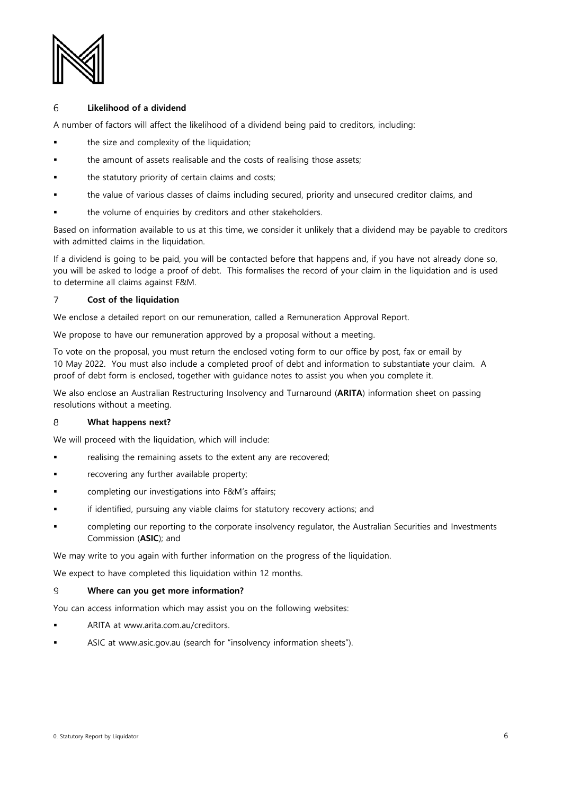

### 6 **Likelihood of a dividend**

A number of factors will affect the likelihood of a dividend being paid to creditors, including:

- the size and complexity of the liquidation;
- the amount of assets realisable and the costs of realising those assets;
- the statutory priority of certain claims and costs;
- the value of various classes of claims including secured, priority and unsecured creditor claims, and
- the volume of enquiries by creditors and other stakeholders.

Based on information available to us at this time, we consider it unlikely that a dividend may be payable to creditors with admitted claims in the liquidation.

If a dividend is going to be paid, you will be contacted before that happens and, if you have not already done so, you will be asked to lodge a proof of debt. This formalises the record of your claim in the liquidation and is used to determine all claims against F&M.

### $\overline{7}$ **Cost of the liquidation**

We enclose a detailed report on our remuneration, called a Remuneration Approval Report.

We propose to have our remuneration approved by a proposal without a meeting.

To vote on the proposal, you must return the enclosed voting form to our office by post, fax or email by 10 May 2022. You must also include a completed proof of debt and information to substantiate your claim. A proof of debt form is enclosed, together with guidance notes to assist you when you complete it.

We also enclose an Australian Restructuring Insolvency and Turnaround (**ARITA**) information sheet on passing resolutions without a meeting.

### 8 **What happens next?**

We will proceed with the liquidation, which will include:

- realising the remaining assets to the extent any are recovered;
- recovering any further available property;
- completing our investigations into F&M's affairs;
- if identified, pursuing any viable claims for statutory recovery actions; and
- completing our reporting to the corporate insolvency regulator, the Australian Securities and Investments Commission (**ASIC**); and

We may write to you again with further information on the progress of the liquidation.

We expect to have completed this liquidation within 12 months.

### 9 **Where can you get more information?**

You can access information which may assist you on the following websites:

- ARITA at www.arita.com.au/creditors.
- ASIC at www.asic.gov.au (search for "insolvency information sheets").